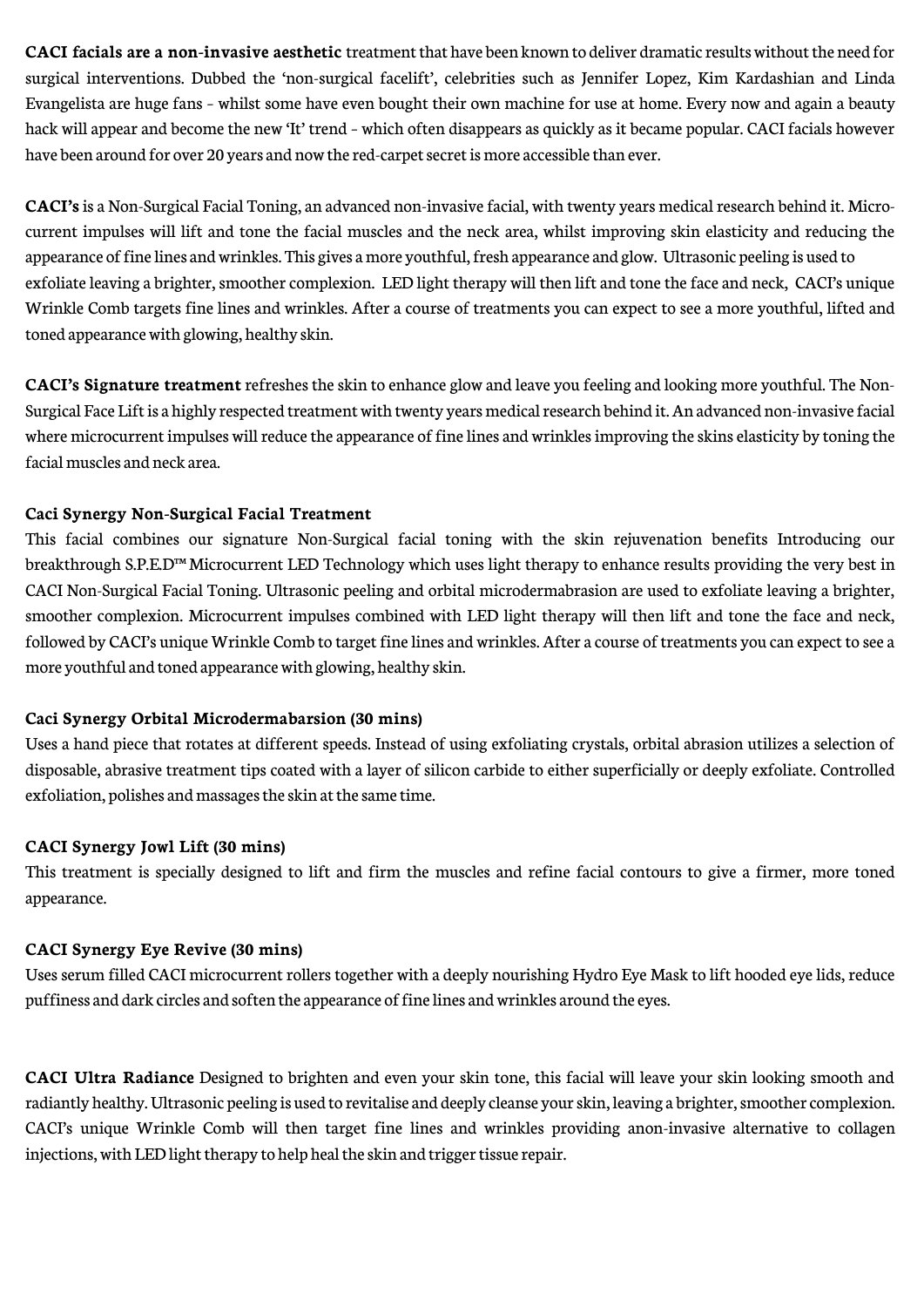**CACI** facials are a non-invasive aesthetic treatment that have been known to deliver dramatic results without the need for surgical interventions. Dubbed the 'non-surgical facelift', celebrities such as Jennifer Lopez, Kim Kardashian and Linda Evangelista are huge fans – whilst some have even bought their own machine for use at home. Every now and again a beauty hack will appear and become the new 'It' trend – which often disappears as quickly as it became popular. CACI facials however have been around for over 20 years and now the red-carpet secret is more accessible than ever.

**CACI's** is a Non-Surgical Facial Toning, an advanced non-invasive facial, with twenty years medical research behind it. Microcurrent impulses will lift and tone the facial muscles and the neck area, whilst improving skin elasticity and reducing the appearance of fine lines and wrinkles. This gives a more youthful, fresh appearance and glow. Ultrasonic peeling is used to exfoliate leaving a brighter, smoother complexion. LED light therapy will then lift and tone the face and neck, CACI's unique Wrinkle Comb targets fine lines and wrinkles. After a course of treatments you can expect to see a more youthful, lifted and toned appearancewith glowing, healthy skin.

**CACI's Signature treatment** refreshes the skin to enhance glow and leave you feeling and looking more youthful. The Non-Surgical Face Lift is a highly respected treatment with twenty years medical research behind it. An advanced non-invasive facial where microcurrent impulses will reduce the appearance of fine lines and wrinkles improving the skins elasticity by toning the facial muscles and neck area.

# **Caci Synergy Non-Surgical Facial Treatment**

This facial combines our signature Non-Surgical facial toning with the skin rejuvenation benefits Introducing our breakthrough S.P.E.D™ Microcurrent LED Technology which uses light therapy to enhance results providing the very best in CACI Non-Surgical Facial Toning. Ultrasonic peeling and orbital microdermabrasion are used to exfoliate leaving a brighter, smoother complexion. Microcurrent impulses combined with LED light therapy will then lift and tone the face and neck, followed by CACI's unique Wrinkle Comb to target finelines and wrinkles. After a course of treatments you can expect to see a more youthful and toned appearancewith glowing, healthy skin.

#### **Caci Synergy Orbital Microdermabarsion (30 mins)**

Uses a hand piece that rotates at different speeds. Instead of using exfoliating crystals, orbital abrasion utilizes a selection of disposable, abrasive treatment tips coated with a layer of silicon carbide to either superficially or deeply exfoliate. Controlled exfoliation, polishes and massages the skin at the same time.

#### **CACI Synergy Jowl Lift (30 mins)**

This treatment is specially designed to lift and firm the muscles and refine facial contours to give a firmer, more toned appearance.

#### **CACI Synergy Eye Revive (30 mins)**

Uses serum filled CACI microcurrent rollers together with a deeply nourishing Hydro Eye Mask to lift hooded eyelids, reduce puffiness and dark circles and soften the appearance of fine lines and wrinkles around the eyes.

**CACI Ultra Radiance** Designed to brighten and even your skin tone, this facial will leave your skin looking smooth and radiantly healthy. Ultrasonic peeling is used to revitalise and deeply cleanse your skin, leaving a brighter, smoother complexion. CACI's unique Wrinkle Comb will then target fine lines and wrinkles providing anon-invasive alternative to collagen injections, with LED light therapy to help heal the skin and trigger tissue repair.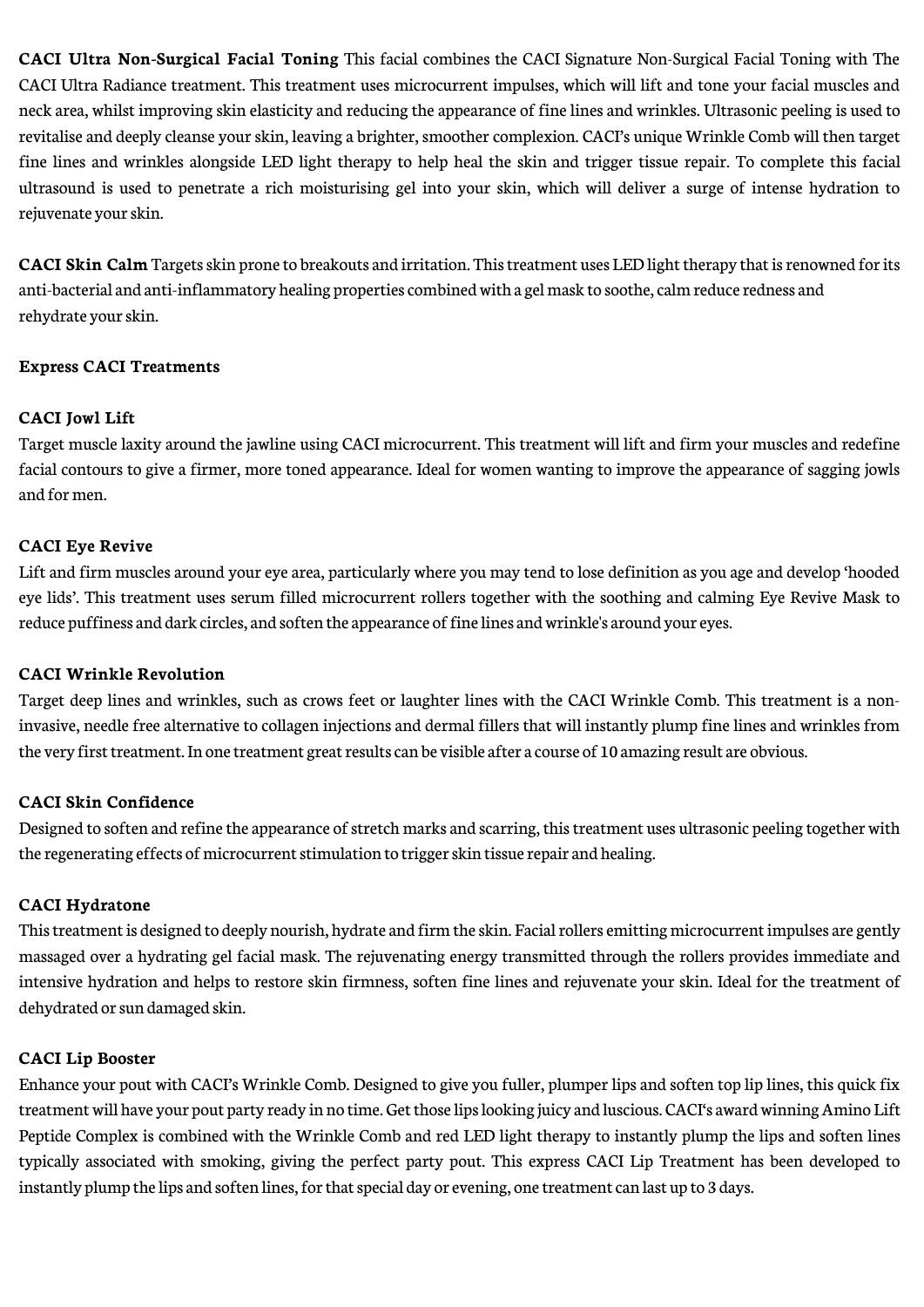**CACI Ultra Non-Surgical Facial Toning** This facial combines the CACI Signature Non-Surgical Facial Toning with The CACI Ultra Radiance treatment. This treatment uses microcurrent impulses, which will lift and tone your facial muscles and neck area, whilst improving skin elasticity and reducing the appearance of fine lines and wrinkles. Ultrasonic peeling is used to revitalise and deeply cleanse your skin, leaving a brighter, smoother complexion. CACI's unique Wrinkle Comb will then target fine lines and wrinkles alongside LED light therapy to help heal the skin and trigger tissue repair. To complete this facial ultrasound is used to penetrate a rich moisturising gel into your skin, which will deliver a surge of intense hydration to rejuvenate your skin.

**CACI Skin Calm** Targets skin prone to breakouts and irritation. This treatment uses LED light therapy that is renowned for its anti-bacterial and anti-inflammatory healing properties combined with a gel mask to soothe, calm reduce redness and rehydrate your skin.

#### **Express CACI Treatments**

# **CACI Jowl Lift**

Target muscle laxity around the jawline using CACI microcurrent. This treatment will lift and firm your muscles and redefine facial contours to give a firmer, more toned appearance. Ideal for women wanting to improve the appearance of sagging jowls and for men.

# **CACI Eye Revive**

Lift and firm muscles around your eye area, particularly where you may tend to lose definition as you age and develop 'hooded eye lids'. This treatment uses serum filled microcurrent rollers together with the soothing and calming Eye Revive Mask to reduce puffiness and dark circles, and soften the appearance of fine lines and wrinkle's around your eyes.

#### **CACI Wrinkle Revolution**

Target deep lines and wrinkles, such as crows feet or laughter lines with the CACI Wrinkle Comb. This treatment is a noninvasive, needle free alternative to collagen injections and dermal fillers that will instantly plump fine lines and wrinkles from the very first treatment. In one treatment great results can be visible after a course of 10 amazing result are obvious.

#### **CACI Skin Confidence**

Designed to soften and refine the appearance of stretch marks and scarring, this treatment uses ultrasonic peeling together with the regenerating effects of microcurrent stimulation to trigger skin tissue repair and healing.

#### **CACI Hydratone**

This treatment is designed to deeply nourish, hydrate and firm the skin. Facial rollers emitting microcurrent impulses are gently massaged over a hydrating gel facial mask. The rejuvenating energy transmitted through the rollers provides immediate and intensive hydration and helps to restore skin firmness, soften fine lines and rejuvenate your skin. Ideal for the treatment of dehydrated or sun damaged skin.

#### **CACI Lip Booster**

Enhance your pout with CACI's Wrinkle Comb. Designed to give you fuller, plumper lips and soften top lip lines, this quick fix treatment will have your pout party ready in no time. Get those lips looking juicy and luscious. CACI's award winning Amino Lift Peptide Complex is combined with the Wrinkle Comb and red LED light therapy to instantly plump the lips and soften lines typically associated with smoking, giving the perfect party pout. This express CACI Lip Treatment has been developed to instantly plump the lips and soften lines, for that special day or evening, one treatment can last up to 3 days.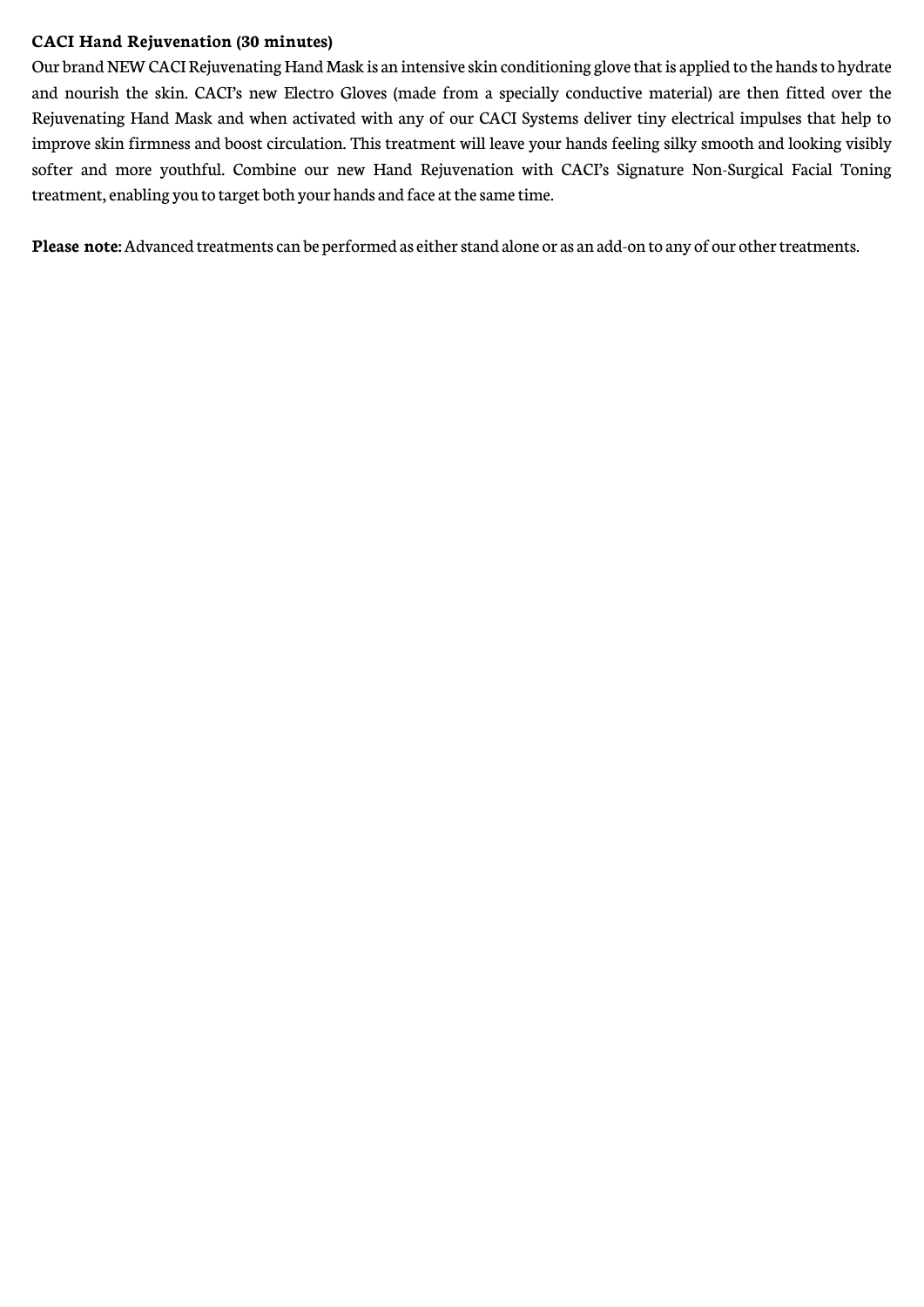#### **CACI Hand Rejuvenation (30 minutes)**

Our brand NEW CACI Rejuvenating Hand Mask is an intensive skin conditioning glove that is applied to the hands to hydrate and nourish the skin. CACI's new Electro Gloves (made from a specially conductive material) are then fitted over the Rejuvenating Hand Mask and when activated with any of our CACI Systems deliver tiny electrical impulses that help to improve skin firmness and boost circulation. This treatment will leave your hands feeling silky smooth and looking visibly softer and more youthful. Combine our new Hand Rejuvenation with CACI's Signature Non-Surgical Facial Toning treatment, enabling you to target both your hands and face at the same time.

**Please note:** Advanced treatments can be performed as either stand alone or as an add-on to any of our other treatments.